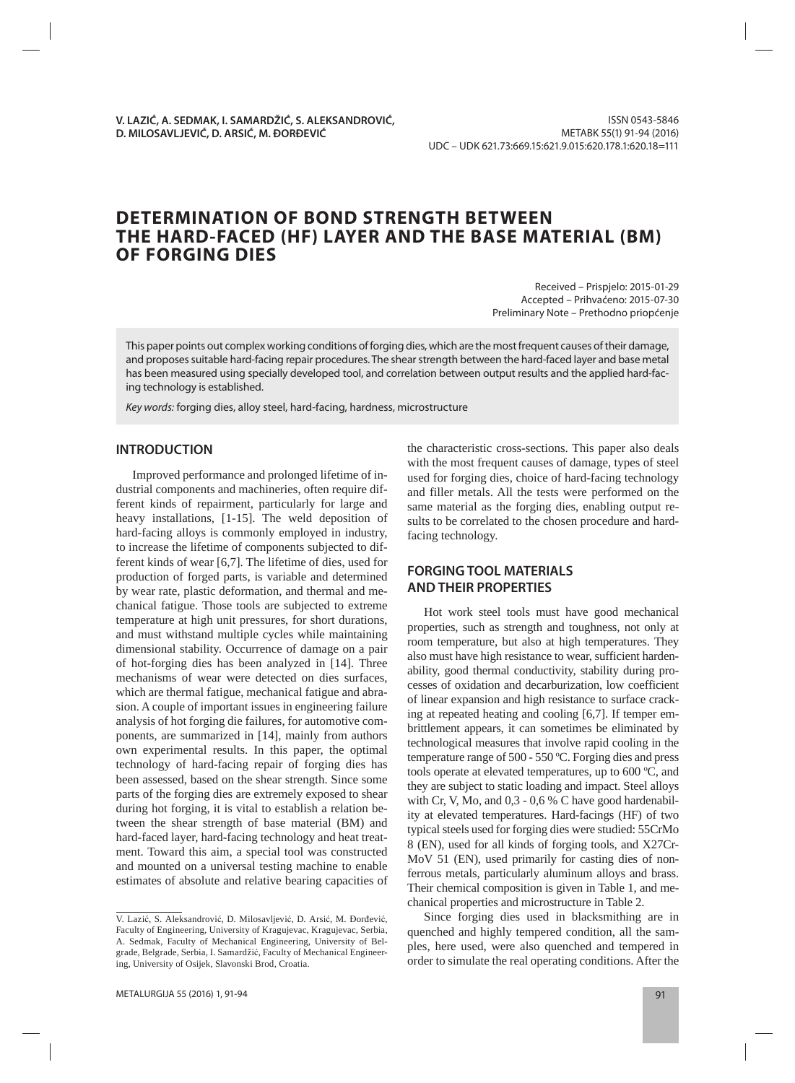# **DETERMINATION OF BOND STRENGTH BETWEEN THE HARD-FACED (HF) LAYER AND THE BASE MATERIAL (BM) OF FORGING DIES**

Received – Prispjelo: 2015-01-29 Accepted – Prihvaćeno: 2015-07-30 Preliminary Note – Prethodno priopćenje

This paper points out complex working conditions of forging dies, which are the most frequent causes of their damage, and proposes suitable hard-facing repair procedures. The shear strength between the hard-faced layer and base metal has been measured using specially developed tool, and correlation between output results and the applied hard-facing technology is established.

Key words: forging dies, alloy steel, hard-facing, hardness, microstructure

# **INTRODUCTION**

Improved performance and prolonged lifetime of industrial components and machineries, often require different kinds of repairment, particularly for large and heavy installations,  $[1-15]$ . The weld deposition of hard-facing alloys is commonly employed in industry, to increase the lifetime of components subjected to different kinds of wear [6,7]. The lifetime of dies, used for production of forged parts, is variable and determined by wear rate, plastic deformation, and thermal and mechanical fatigue. Those tools are subjected to extreme temperature at high unit pressures, for short durations, and must with stand multiple cycles while maintaining dimensional stability. Occurrence of damage on a pair of hot-forging dies has been analyzed in [14]. Three mechanisms of wear were detected on dies surfaces, which are thermal fatigue, mechanical fatigue and abrasion. A couple of important issues in engineering failure analysis of hot forging die failures, for automotive components, are summarized in [14], mainly from authors own experimental results. In this paper, the optimal technology of hard-facing repair of forging dies has been assessed, based on the shear strength. Since some parts of the forging dies are extremely exposed to shear during hot forging, it is vital to establish a relation between the shear strength of base material (BM) and hard-faced layer, hard-facing technology and heat treatment. Toward this aim, a special tool was constructed and mounted on a universal testing machine to enable estimates of absolute and relative bearing capacities of the characteristic cross-sections. This paper also deals with the most frequent causes of damage, types of steel used for forging dies, choice of hard-facing technology and filler metals. All the tests were performed on the same material as the forging dies, enabling output results to be correlated to the chosen procedure and hardfacing technology.

# **FORGING TOOL MATERIALS AND THEIR PROPERTIES**

Hot work steel tools must have good mechanical properties, such as strength and toughness, not only at room temperature, but also at high temperatures. They also must have high resistance to wear, sufficient hardenability, good thermal conductivity, stability during processes of oxidation and decarburization, low coefficient of linear expansion and high resistance to surface cracking at repeated heating and cooling [6,7]. If temper embrittlement appears, it can sometimes be eliminated by technological measures that involve rapid cooling in the temperature range of 500 - 550 ºC. Forging dies and press tools operate at elevated temperatures, up to 600 ºC, and they are subject to static loading and impact. Steel alloys with Cr, V, Mo, and 0,3 - 0,6 % C have good hardenability at elevated temperatures. Hard-facings (HF) of two typical steels used for forging dies were studied: 55CrMo 8 (EN), used for all kinds of forging tools, and X27Cr-MoV 51 (EN), used primarily for casting dies of nonferrous metals, particularly aluminum alloys and brass. Their chemical composition is given in Table 1, and mechanical properties and microstructure in Table 2.

Since forging dies used in blacksmithing are in quenched and highly tempered condition, all the samples, here used, were also quenched and tempered in order to simulate the real operating conditions. After the

V. Lazić, S. Aleksandrović, D. Milosavljević, D. Arsić, M. Đorđević, Faculty of Engineering, University of Kragujevac, Kragujevac, Serbia, A. Sedmak, Faculty of Mechanical Engineering, University of Belgrade, Belgrade, Serbia, I. Samardžić, Faculty of Mechanical Engineering, University of Osijek, Slavonski Brod, Croatia.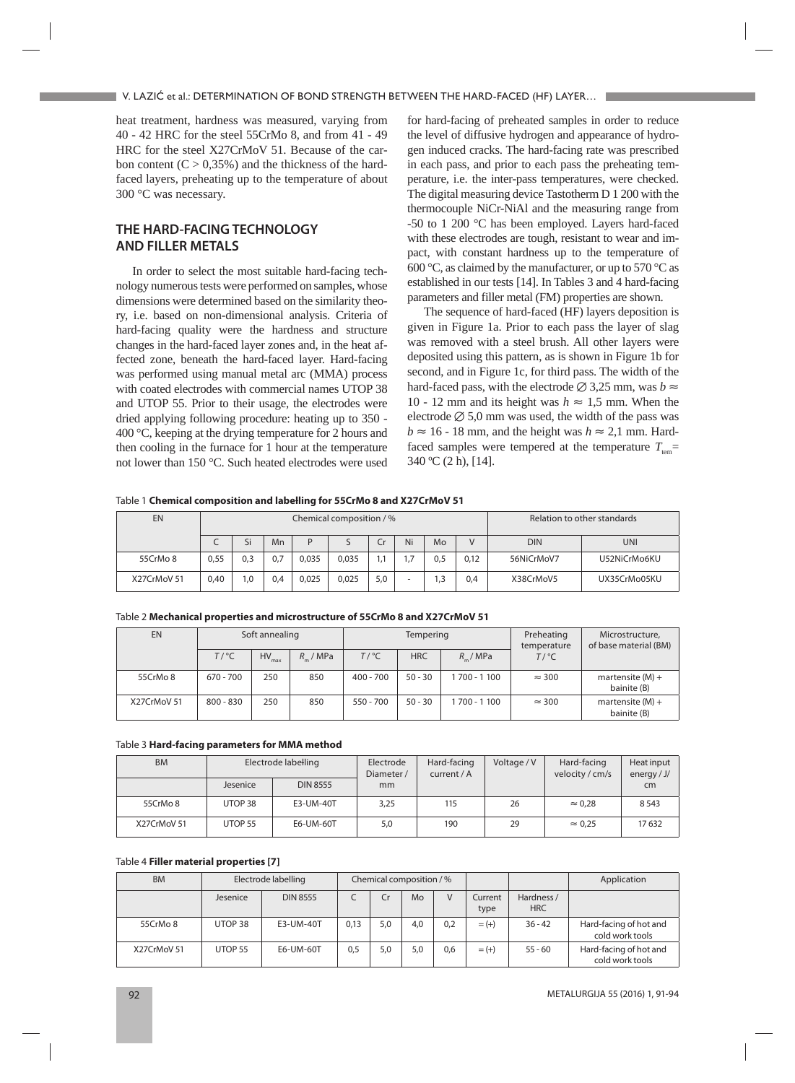heat treatment, hardness was measured, varying from 40 - 42 HRC for the steel 55CrMo 8, and from 41 - 49 HRC for the steel X27CrMoV 51. Because of the carbon content  $(C > 0.35\%)$  and the thickness of the hardfaced layers, preheating up to the temperature of about 300 °C was necessary.

# **THE HARD-FACING TECHNOLOGY AND FILLER METALS**

In order to select the most suitable hard-facing technology numerous tests were performed on samples, whose dimensions were determined based on the similarity theory, i.e. based on non-dimensional analysis. Criteria of hard-facing quality were the hardness and structure changes in the hard-faced layer zones and, in the heat affected zone, beneath the hard-faced layer. Hard-facing was performed using manual metal arc (MMA) process with coated electrodes with commercial names UTOP 38 and UTOP 55. Prior to their usage, the electrodes were dried applying following procedure: heating up to 350 - 400 °C, keeping at the drying temperature for 2 hours and then cooling in the furnace for  $1$  hour at the temperature not lower than 150 °C. Such heated electrodes were used

for hard-facing of preheated samples in order to reduce the level of diffusive hydrogen and appearance of hydrogen induced cracks. The hard-facing rate was prescribed in each pass, and prior to each pass the preheating temperature, i.e. the inter-pass temperatures, were checked. The digital measuring device Tastotherm D 1 200 with the thermocouple NiCr-NiAl and the measuring range from -50 to 1 200 °C has been employed. Layers hard-faced with these electrodes are tough, resistant to wear and impact, with constant hardness up to the temperature of 600 °C, as claimed by the manufacturer, or up to 570 °C as established in our tests [14]. In Tables 3 and 4 hard-facing parameters and filler metal (FM) properties are shown.

The sequence of hard-faced (HF) layers deposition is given in Figure 1a. Prior to each pass the layer of slag was removed with a steel brush. All other layers were deposited using this pattern, as is shown in Figure 1b for second, and in Figure 1c, for third pass. The width of the hard-faced pass, with the electrode  $\varnothing$  3,25 mm, was *b*  $\approx$ 10 - 12 mm and its height was  $h \approx 1.5$  mm. When the electrode  $\varnothing$  5,0 mm was used, the width of the pass was  $b \approx 16 - 18$  mm, and the height was  $h \approx 2.1$  mm. Hardfaced samples were tempered at the temperature  $T_{\text{tem}}$ =  $340 \text{ °C}$  (2 h), [14].

Table 1 **Chemical composition and labelling for 55CrMo 8 and X27CrMoV 51**

| EN          |      | Chemical composition / % |     |       |       |     |    |     |        |            | Relation to other standards |
|-------------|------|--------------------------|-----|-------|-------|-----|----|-----|--------|------------|-----------------------------|
|             |      | Si                       | Mn  |       |       |     | Ni | Mo  | $\vee$ | <b>DIN</b> | <b>UNI</b>                  |
| 55CrMo 8    | 0,55 | 0,3                      | 0,7 | 0,035 | 0,035 |     |    | 0.5 | 0.12   | 56NiCrMoV7 | U52NiCrMo6KU                |
| X27CrMoV 51 | 0.40 | 0.،                      | 0.4 | 0,025 | 0.025 | 5,0 |    | ن   | 0.4    | X38CrMoV5  | UX35CrMo05KU                |

#### Table 2 **Mechanical properties and microstructure of 55CrMo 8 and X27CrMoV 51**

| <b>EN</b>   | Soft annealing  |                   |           |                 | Tempering  |               | Preheating<br>temperature | Microstructure,<br>of base material (BM) |
|-------------|-----------------|-------------------|-----------|-----------------|------------|---------------|---------------------------|------------------------------------------|
|             | $T/{}^{\circ}C$ | $HV_{\text{max}}$ | $R$ / MPa | $T/{}^{\circ}C$ | <b>HRC</b> | $R_{-}/MPa$   | $T/$ °C                   |                                          |
| 55CrMo 8    | $670 - 700$     | 250               | 850       | $400 - 700$     | $50 - 30$  | 1 700 - 1 100 | $\approx$ 300             | martensite $(M) +$<br>bainite (B)        |
| X27CrMoV 51 | $800 - 830$     | 250               | 850       | $550 - 700$     | $50 - 30$  | 1 700 - 1 100 | $\approx$ 300             | martensite $(M) +$<br>bainite (B)        |

#### Table 3 **Hard-facing parameters for MMA method**

| <b>BM</b>   | Electrode labelling |                 | Electrode<br>Diameter / | Hard-facing<br>current $/$ A | Voltage / V | Hard-facing<br>velocity / cm/s | Heat input<br>energy $/$ J $/$ |
|-------------|---------------------|-----------------|-------------------------|------------------------------|-------------|--------------------------------|--------------------------------|
|             | Jesenice            | <b>DIN 8555</b> | mm                      |                              |             |                                | cm                             |
| 55CrMo 8    | UTOP 38             | E3-UM-40T       | 3,25                    | 115                          | 26          | $\approx 0.28$                 | 8 5 4 3                        |
| X27CrMoV 51 | UTOP <sub>55</sub>  | E6-UM-60T       | 5,0                     | 190                          | 29          | $\approx 0.25$                 | 17632                          |

### Table 4 **Filler material properties [7]**

| <b>BM</b>   | Electrode labelling | Chemical composition / % |      |     |                |     |                 | Application              |                                           |
|-------------|---------------------|--------------------------|------|-----|----------------|-----|-----------------|--------------------------|-------------------------------------------|
|             | Jesenice            | <b>DIN 8555</b>          |      | Cr  | M <sub>o</sub> | V   | Current<br>type | Hardness /<br><b>HRC</b> |                                           |
| 55CrMo 8    | UTOP 38             | E3-UM-40T                | 0.13 | 5.0 | 4.0            | 0,2 | $= (+)$         | $36 - 42$                | Hard-facing of hot and<br>cold work tools |
| X27CrMoV 51 | UTOP <sub>55</sub>  | E6-UM-60T                | 0,5  | 5,0 | 5.0            | 0.6 | $= (+)$         | $55 - 60$                | Hard-facing of hot and<br>cold work tools |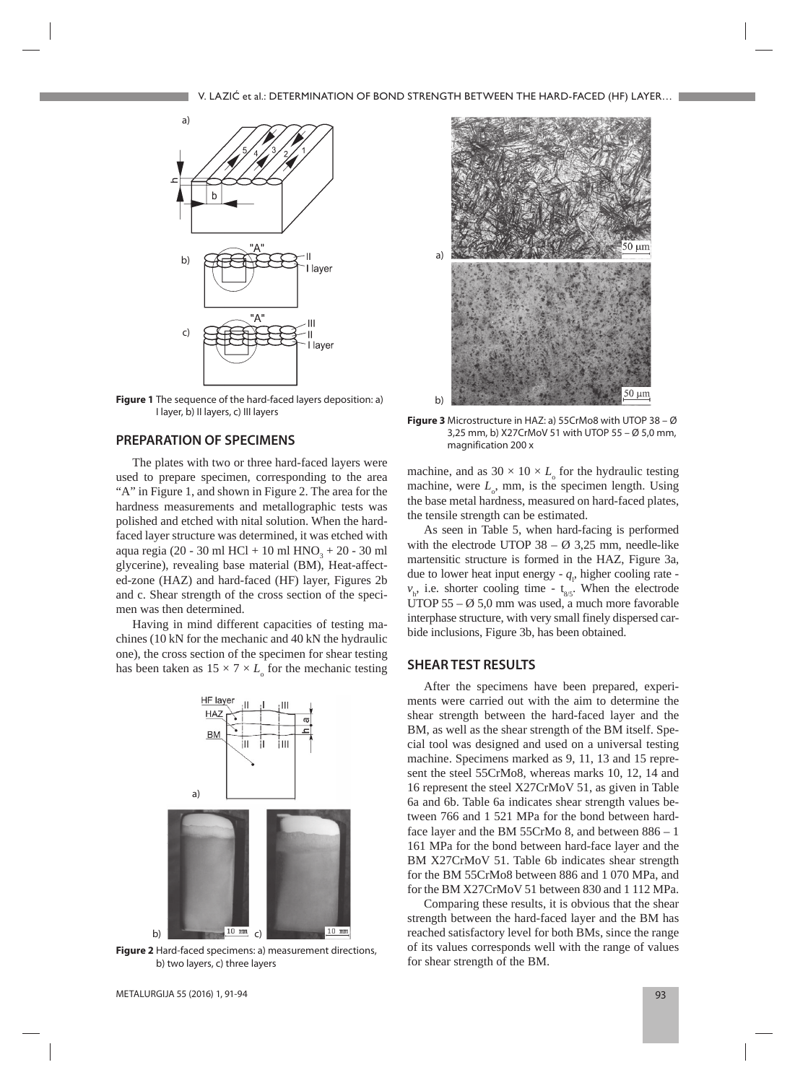

**Figure 1** The sequence of the hard-faced layers deposition: a) I layer, b) II layers, c) III layers

## **PREPARATION OF SPECIMENS**

The plates with two or three hard-faced layers were used to prepare specimen, corresponding to the area "A" in Figure 1, and shown in Figure 2. The area for the hardness measurements and metallographic tests was polished and etched with nital solution. When the hardfaced layer structure was determined, it was etched with aqua regia (20 - 30 ml HCl + 10 ml  $HNO_3 + 20$  - 30 ml glycerine), revealing base material (BM), Heat-affected-zone (HAZ) and hard-faced (HF) layer, Figures 2b and c. Shear strength of the cross section of the specimen was then determined.

Having in mind different capacities of testing machines (10 kN for the mechanic and 40 kN the hydraulic one), the cross section of the specimen for shear testing has been taken as  $15 \times 7 \times L_{\text{o}}$  for the mechanic testing



**Figure 2** Hard-faced specimens: a) measurement directions, b) two layers, c) three layers



**Figure 3** Microstructure in HAZ: a) 55CrMo8 with UTOP 38 – Ø 3,25 mm, b) X27CrMoV 51 with UTOP 55 – Ø 5,0 mm, magnification 200 x

machine, and as  $30 \times 10 \times L_{\rm o}$  for the hydraulic testing machine, were  $L_0$ , mm, is the specimen length. Using the base metal hardness, measured on hard-faced plates, the tensile strength can be estimated.

As seen in Table 5, when hard-facing is performed with the electrode UTOP  $38 - \emptyset$  3.25 mm, needle-like martensitic structure is formed in the HAZ, Figure 3a, due to lower heat input energy  $-q_1$ , higher cooling rate  $v_{h}$ , i.e. shorter cooling time - t<sub>8/5</sub>. When the electrode UTOP 55 –  $\varnothing$  5,0 mm was used, a much more favorable interphase structure, with very small finely dispersed carbide inclusions, Figure 3b, has been obtained.

## **SHEAR TEST RESULTS**

After the specimens have been prepared, experiments were carried out with the aim to determine the shear strength between the hard-faced layer and the BM, as well as the shear strength of the BM itself. Special tool was designed and used on a universal testing machine. Specimens marked as 9, 11, 13 and 15 represent the steel 55CrMo8, whereas marks 10, 12, 14 and 16 represent the steel X27CrMoV 51, as given in Table 6a and 6b. Table 6a indicates shear strength values between 766 and 1 521 MPa for the bond between hardface layer and the BM 55CrMo 8, and between 886 – 1 161 MPa for the bond between hard-face layer and the BM X27CrMoV 51. Table 6b indicates shear strength for the BM 55CrMo8 between 886 and 1 070 MPa, and for the BM X27CrMoV 51 between 830 and 1 112 MPa.

Comparing these results, it is obvious that the shear strength between the hard-faced layer and the BM has reached satisfactory level for both BMs, since the range of its values corresponds well with the range of values for shear strength of the BM.